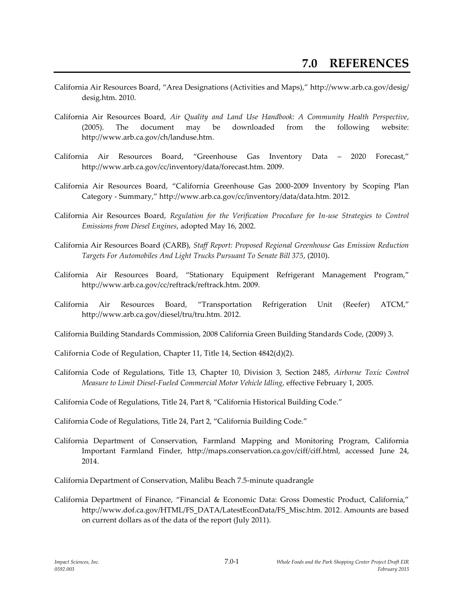- California Air Resources Board, "Area Designations (Activities and Maps)," http://www.arb.ca.gov/desig/ desig.htm. 2010.
- California Air Resources Board, *Air Quality and Land Use Handbook: A Community Health Perspective*, (2005). The document may be downloaded from the following website: http://www.arb.ca.gov/ch/landuse.htm.
- California Air Resources Board, "Greenhouse Gas Inventory Data 2020 Forecast," http://www.arb.ca.gov/cc/inventory/data/forecast.htm. 2009.
- California Air Resources Board, "California Greenhouse Gas 2000-2009 Inventory by Scoping Plan Category - Summary," http://www.arb.ca.gov/cc/inventory/data/data.htm. 2012.
- California Air Resources Board, *Regulation for the Verification Procedure for In-use Strategies to Control Emissions from Diesel Engines*, adopted May 16, 2002.
- California Air Resources Board (CARB), *Staff Report: Proposed Regional Greenhouse Gas Emission Reduction Targets For Automobiles And Light Trucks Pursuant To Senate Bill 375*, (2010).
- California Air Resources Board, "Stationary Equipment Refrigerant Management Program," http://www.arb.ca.gov/cc/reftrack/reftrack.htm. 2009.
- California Air Resources Board, "Transportation Refrigeration Unit (Reefer) ATCM," http://www.arb.ca.gov/diesel/tru/tru.htm. 2012.
- California Building Standards Commission, 2008 California Green Building Standards Code, (2009) 3.
- California Code of Regulation, Chapter 11, Title 14, Section 4842(d)(2).
- California Code of Regulations, Title 13, Chapter 10, Division 3, Section 2485, *Airborne Toxic Control Measure to Limit Diesel-Fueled Commercial Motor Vehicle Idling*, effective February 1, 2005.
- California Code of Regulations, Title 24, Part 8, "California Historical Building Code."
- California Code of Regulations, Title 24, Part 2, "California Building Code."
- California Department of Conservation, Farmland Mapping and Monitoring Program, California Important Farmland Finder, http://maps.conservation.ca.gov/ciff/ciff.html, accessed June 24, 2014.
- California Department of Conservation, Malibu Beach 7.5-minute quadrangle
- California Department of Finance, "Financial & Economic Data: Gross Domestic Product, California," http://www.dof.ca.gov/HTML/FS\_DATA/LatestEconData/FS\_Misc.htm. 2012. Amounts are based on current dollars as of the data of the report (July 2011).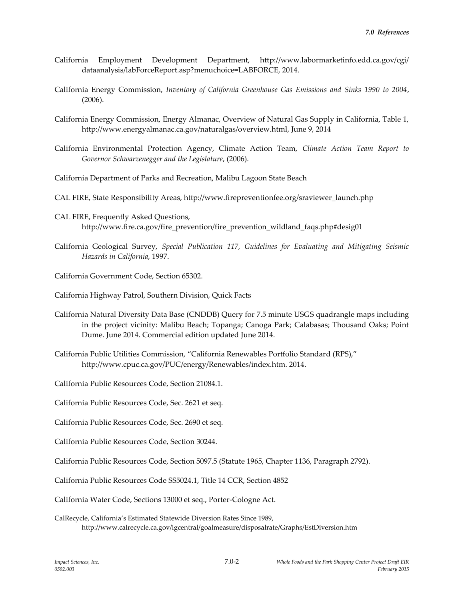- California Employment Development Department, http://www.labormarketinfo.edd.ca.gov/cgi/ dataanalysis/labForceReport.asp?menuchoice=LABFORCE, 2014.
- California Energy Commission, *Inventory of California Greenhouse Gas Emissions and Sinks 1990 to 2004*, (2006).
- California Energy Commission, Energy Almanac, Overview of Natural Gas Supply in California, Table 1, http://www.energyalmanac.ca.gov/naturalgas/overview.html, June 9, 2014
- California Environmental Protection Agency, Climate Action Team, *Climate Action Team Report to Governor Schwarzenegger and the Legislature*, (2006).
- California Department of Parks and Recreation, Malibu Lagoon State Beach
- CAL FIRE, State Responsibility Areas, http://www.firepreventionfee.org/sraviewer\_launch.php
- CAL FIRE, Frequently Asked Questions, http://www.fire.ca.gov/fire\_prevention/fire\_prevention\_wildland\_faqs.php#desig01
- California Geological Survey, *Special Publication 117, Guidelines for Evaluating and Mitigating Seismic Hazards in California*, 1997.
- California Government Code, Section 65302.
- California Highway Patrol, Southern Division, Quick Facts
- California Natural Diversity Data Base (CNDDB) Query for 7.5 minute USGS quadrangle maps including in the project vicinity: Malibu Beach; Topanga; Canoga Park; Calabasas; Thousand Oaks; Point Dume. June 2014. Commercial edition updated June 2014.
- California Public Utilities Commission, "California Renewables Portfolio Standard (RPS)," http://www.cpuc.ca.gov/PUC/energy/Renewables/index.htm. 2014.

California Public Resources Code, Section 21084.1.

- California Public Resources Code, Sec. 2621 et seq.
- California Public Resources Code, Sec. 2690 et seq.
- California Public Resources Code, Section 30244.
- California Public Resources Code, Section 5097.5 (Statute 1965, Chapter 1136, Paragraph 2792).
- California Public Resources Code SS5024.1, Title 14 CCR, Section 4852
- California Water Code, Sections 13000 et seq., Porter-Cologne Act.
- CalRecycle, California's Estimated Statewide Diversion Rates Since 1989, http://www.calrecycle.ca.gov/lgcentral/goalmeasure/disposalrate/Graphs/EstDiversion.htm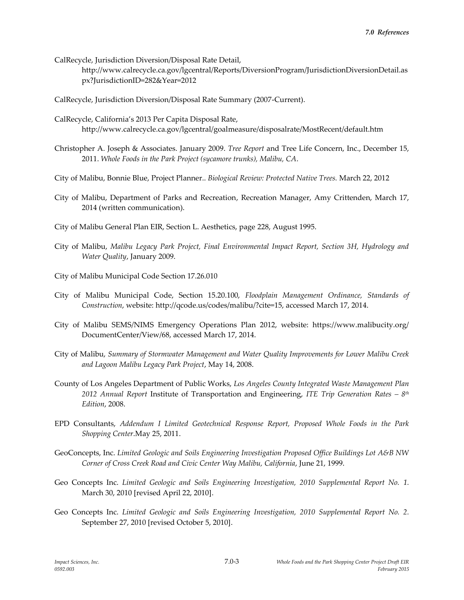- CalRecycle, Jurisdiction Diversion/Disposal Rate Detail,
	- http://www.calrecycle.ca.gov/lgcentral/Reports/DiversionProgram/JurisdictionDiversionDetail.as px?JurisdictionID=282&Year=2012
- CalRecycle, Jurisdiction Diversion/Disposal Rate Summary (2007-Current).
- CalRecycle, California's 2013 Per Capita Disposal Rate, http://www.calrecycle.ca.gov/lgcentral/goalmeasure/disposalrate/MostRecent/default.htm
- Christopher A. Joseph & Associates. January 2009. *Tree Report* and Tree Life Concern, Inc., December 15, 2011. *Whole Foods in the Park Project (sycamore trunks), Malibu, CA*.
- City of Malibu, Bonnie Blue, Project Planner.. *Biological Review: Protected Native Trees.* March 22, 2012
- City of Malibu, Department of Parks and Recreation, Recreation Manager, Amy Crittenden, March 17, 2014 (written communication).
- City of Malibu General Plan EIR, Section L. Aesthetics, page 228, August 1995.
- City of Malibu, *Malibu Legacy Park Project, Final Environmental Impact Report, Section 3H, Hydrology and Water Quality*, January 2009.
- City of Malibu Municipal Code Section 17.26.010
- City of Malibu Municipal Code, Section 15.20.100, *Floodplain Management Ordinance, Standards of Construction*, website: http://qcode.us/codes/malibu/?cite=15, accessed March 17, 2014.
- City of Malibu SEMS/NIMS Emergency Operations Plan 2012, website: https://www.malibucity.org/ DocumentCenter/View/68, accessed March 17, 2014.
- City of Malibu, *Summary of Stormwater Management and Water Quality Improvements for Lower Malibu Creek and Lagoon Malibu Legacy Park Project*, May 14, 2008.
- County of Los Angeles Department of Public Works, *Los Angeles County Integrated Waste Management Plan 2012 Annual Report* Institute of Transportation and Engineering, *ITE Trip Generation Rates – 8 th Edition*, 2008.
- EPD Consultants, *Addendum I Limited Geotechnical Response Report, Proposed Whole Foods in the Park Shopping Center*.May 25, 2011.
- GeoConcepts, Inc. *Limited Geologic and Soils Engineering Investigation Proposed Office Buildings Lot A&B NW Corner of Cross Creek Road and Civic Center Way Malibu, California*, June 21, 1999.
- Geo Concepts Inc. *Limited Geologic and Soils Engineering Investigation, 2010 Supplemental Report No. 1.* March 30, 2010 [revised April 22, 2010].
- Geo Concepts Inc. *Limited Geologic and Soils Engineering Investigation, 2010 Supplemental Report No. 2.* September 27, 2010 [revised October 5, 2010].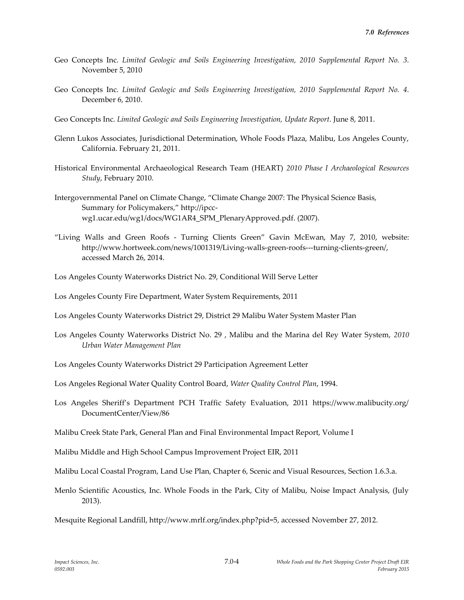- Geo Concepts Inc. *Limited Geologic and Soils Engineering Investigation, 2010 Supplemental Report No. 3.* November 5, 2010
- Geo Concepts Inc. *Limited Geologic and Soils Engineering Investigation, 2010 Supplemental Report No. 4.* December 6, 2010.
- Geo Concepts Inc. *Limited Geologic and Soils Engineering Investigation, Update Report.* June 8, 2011.
- Glenn Lukos Associates, Jurisdictional Determination, Whole Foods Plaza, Malibu, Los Angeles County, California. February 21, 2011.
- Historical Environmental Archaeological Research Team (HEART) *2010 Phase I Archaeological Resources Study*, February 2010.
- Intergovernmental Panel on Climate Change, "Climate Change 2007: The Physical Science Basis, Summary for Policymakers," http://ipccwg1.ucar.edu/wg1/docs/WG1AR4\_SPM\_PlenaryApproved.pdf. (2007).
- "Living Walls and Green Roofs Turning Clients Green" Gavin McEwan, May 7, 2010, website: http://www.hortweek.com/news/1001319/Living-walls-green-roofs---turning-clients-green/, accessed March 26, 2014.
- Los Angeles County Waterworks District No. 29, Conditional Will Serve Letter
- Los Angeles County Fire Department, Water System Requirements, 2011
- Los Angeles County Waterworks District 29, District 29 Malibu Water System Master Plan
- Los Angeles County Waterworks District No. 29 , Malibu and the Marina del Rey Water System, *2010 Urban Water Management Plan*
- Los Angeles County Waterworks District 29 Participation Agreement Letter
- Los Angeles Regional Water Quality Control Board, *Water Quality Control Plan*, 1994.
- Los Angeles Sheriff's Department PCH Traffic Safety Evaluation, 2011 https://www.malibucity.org/ DocumentCenter/View/86
- Malibu Creek State Park, General Plan and Final Environmental Impact Report, Volume I
- Malibu Middle and High School Campus Improvement Project EIR, 2011
- Malibu Local Coastal Program, Land Use Plan, Chapter 6, Scenic and Visual Resources, Section 1.6.3.a.
- Menlo Scientific Acoustics, Inc. Whole Foods in the Park, City of Malibu, Noise Impact Analysis, (July 2013).
- Mesquite Regional Landfill, http://www.mrlf.org/index.php?pid=5, accessed November 27, 2012.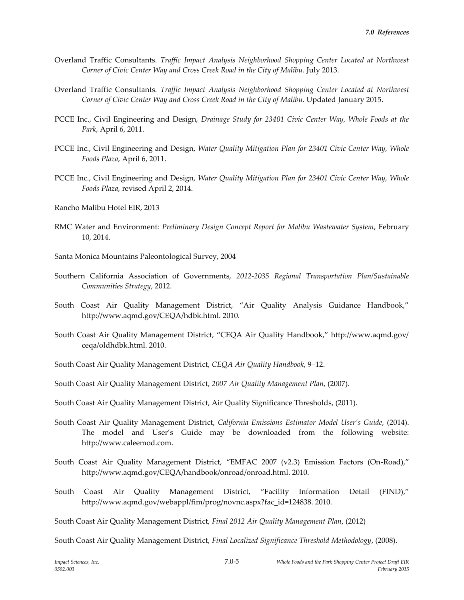- Overland Traffic Consultants. *Traffic Impact Analysis Neighborhood Shopping Center Located at Northwest*  Corner of Civic Center Way and Cross Creek Road in the City of Malibu. July 2013.
- Overland Traffic Consultants. *Traffic Impact Analysis Neighborhood Shopping Center Located at Northwest Corner of Civic Center Way and Cross Creek Road in the City of Malibu.* Updated January 2015.
- PCCE Inc., Civil Engineering and Design, *Drainage Study for 23401 Civic Center Way, Whole Foods at the Park*, April 6, 2011.
- PCCE Inc., Civil Engineering and Design, *Water Quality Mitigation Plan for 23401 Civic Center Way, Whole Foods Plaza*, April 6, 2011.
- PCCE Inc., Civil Engineering and Design, *Water Quality Mitigation Plan for 23401 Civic Center Way, Whole Foods Plaza*, revised April 2, 2014.
- Rancho Malibu Hotel EIR, 2013
- RMC Water and Environment: *Preliminary Design Concept Report for Malibu Wastewater System*, February 10, 2014.
- Santa Monica Mountains Paleontological Survey, 2004
- Southern California Association of Governments, *2012-2035 Regional Transportation Plan/Sustainable Communities Strategy*, 2012.
- South Coast Air Quality Management District, "Air Quality Analysis Guidance Handbook," http://www.aqmd.gov/CEQA/hdbk.html. 2010.
- South Coast Air Quality Management District, "CEQA Air Quality Handbook," http://www.aqmd.gov/ ceqa/oldhdbk.html. 2010.
- South Coast Air Quality Management District, *CEQA Air Quality Handbook*, 9–12.
- South Coast Air Quality Management District, *2007 Air Quality Management Plan*, (2007).
- South Coast Air Quality Management District, Air Quality Significance Thresholds, (2011).
- South Coast Air Quality Management District, *California Emissions Estimator Model User's Guide*, (2014). The model and User's Guide may be downloaded from the following website: http://www.caleemod.com.
- South Coast Air Quality Management District, "EMFAC 2007 (v2.3) Emission Factors (On-Road)," http://www.aqmd.gov/CEQA/handbook/onroad/onroad.html. 2010.
- South Coast Air Quality Management District, "Facility Information Detail (FIND)," http://www.aqmd.gov/webappl/fim/prog/novnc.aspx?fac\_id=124838. 2010.

South Coast Air Quality Management District, *Final 2012 Air Quality Management Plan*, (2012)

South Coast Air Quality Management District, *Final Localized Significance Threshold Methodology*, (2008).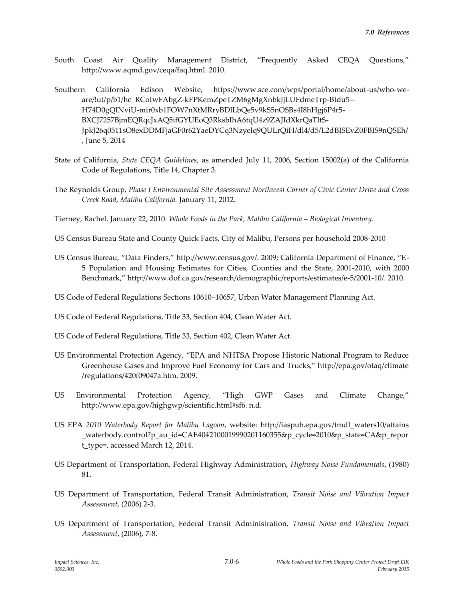- South Coast Air Quality Management District, "Frequently Asked CEQA Questions," http://www.aqmd.gov/ceqa/faq.html. 2010.
- Southern California Edison Website, https://www.sce.com/wps/portal/home/about-us/who-weare/!ut/p/b1/hc\_RCoIwFAbgZ-kFPKemZpeTZM6gMgXnbkJjLUFdmeTrp-Btdu5-- H74D0gQINviU-mir0xb1FOW7nXtMRryBDlLbQe5v9kS5nOSBs4I8hHgj6P4r5- BXCJ7257BjmEQRqcJxAQ5ifGYUEoQ3RksbIhA6tqU4z9ZAJIdXkrQaTltS-JpkJ26q0511sO8exDDMFjaGF0r62YaeDYCq3Nzyelq9QULrQiH/dl4/d5/L2dBISEvZ0FBIS9nQSEh/ , June 5, 2014
- State of California, *State CEQA Guidelines*, as amended July 11, 2006, Section 15002(a) of the California Code of Regulations, Title 14, Chapter 3.
- The Reynolds Group, *Phase I Environmental Site Assessment Northwest Corner of Civic Center Drive and Cross Creek Road, Malibu California.* January 11, 2012.
- Tierney, Rachel. January 22, 2010. *Whole Foods in the Park, Malibu California – Biological Inventory*.
- US Census Bureau State and County Quick Facts, City of Malibu, Persons per household 2008-2010
- US Census Bureau, "Data Finders," http://www.census.gov/. 2009; California Department of Finance, "E-5 Population and Housing Estimates for Cities, Counties and the State, 2001-2010, with 2000 Benchmark," http://www.dof.ca.gov/research/demographic/reports/estimates/e-5/2001-10/. 2010.
- US Code of Federal Regulations Sections 10610–10657, Urban Water Management Planning Act.
- US Code of Federal Regulations, Title 33, Section 404, Clean Water Act.
- US Code of Federal Regulations, Title 33, Section 402, Clean Water Act.
- US Environmental Protection Agency, "EPA and NHTSA Propose Historic National Program to Reduce Greenhouse Gases and Improve Fuel Economy for Cars and Trucks," http://epa.gov/otaq/climate /regulations/420f09047a.htm. 2009.
- US Environmental Protection Agency, "High GWP Gases and Climate Change," http://www.epa.gov/highgwp/scientific.html#sf6. n.d.
- US EPA *2010 Waterbody Report for Malibu Lagoon*, website: http://iaspub.epa.gov/tmdl\_waters10/attains \_waterbody.control?p\_au\_id=CAE4042100019990201160355&p\_cycle=2010&p\_state=CA&p\_repor t\_type=, accessed March 12, 2014.
- US Department of Transportation, Federal Highway Administration, *Highway Noise Fundamentals*, (1980) 81.
- US Department of Transportation, Federal Transit Administration, *Transit Noise and Vibration Impact Assessment*, (2006) 2-3.
- US Department of Transportation, Federal Transit Administration, *Transit Noise and Vibration Impact Assessment*, (2006), 7-8.